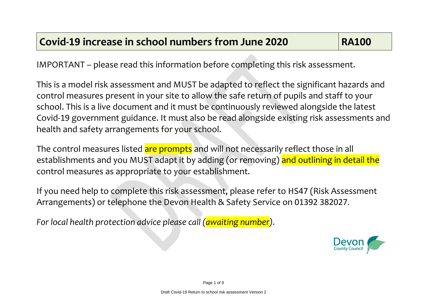IMPORTANT – please read this information before completing this risk assessment.

This is a model risk assessment and MUST be adapted to reflect the significant hazards and control measures present in your site to allow the safe return of pupils and staff to your school. This is a live document and it must be continuously reviewed alongside the latest Covid-19 government guidance. It must also be read alongside existing risk assessments and health and safety arrangements for your school.

The control measures listed are prompts and will not necessarily reflect those in all establishments and you MUST adapt it by adding (or removing) and outlining in detail the control measures as appropriate to your establishment.

If you need help to complete this risk assessment, please refer to HS47 (Risk Assessment Arrangements) or telephone the Devon Health & Safety Service on 01392 382027.

*For local health protection advice please call (awaiting number).*

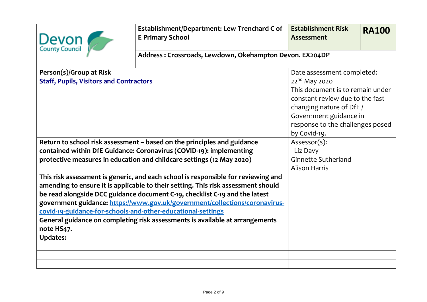| Devon                                                                                                                                                                                                                                                                                                                                                                                                                                                                                                                                                                                                                                                                                                                                            | Establishment/Department: Lew Trenchard C of<br><b>E Primary School</b> | <b>Establishment Risk</b><br><b>Assessment</b>                                                                                                                                                                                            | <b>RA100</b> |  |
|--------------------------------------------------------------------------------------------------------------------------------------------------------------------------------------------------------------------------------------------------------------------------------------------------------------------------------------------------------------------------------------------------------------------------------------------------------------------------------------------------------------------------------------------------------------------------------------------------------------------------------------------------------------------------------------------------------------------------------------------------|-------------------------------------------------------------------------|-------------------------------------------------------------------------------------------------------------------------------------------------------------------------------------------------------------------------------------------|--------------|--|
|                                                                                                                                                                                                                                                                                                                                                                                                                                                                                                                                                                                                                                                                                                                                                  | Address: Crossroads, Lewdown, Okehampton Devon. EX204DP                 |                                                                                                                                                                                                                                           |              |  |
| Person(s)/Group at Risk<br><b>Staff, Pupils, Visitors and Contractors</b>                                                                                                                                                                                                                                                                                                                                                                                                                                                                                                                                                                                                                                                                        |                                                                         | Date assessment completed:<br>22 <sup>nd</sup> May 2020<br>This document is to remain under<br>constant review due to the fast-<br>changing nature of DfE /<br>Government guidance in<br>response to the challenges posed<br>by Covid-19. |              |  |
| Return to school risk assessment - based on the principles and guidance<br>contained within DfE Guidance: Coronavirus (COVID-19): implementing<br>protective measures in education and childcare settings (12 May 2020)<br>This risk assessment is generic, and each school is responsible for reviewing and<br>amending to ensure it is applicable to their setting. This risk assessment should<br>be read alongside DCC guidance document C-19, checklist C-19 and the latest<br>government guidance: https://www.gov.uk/government/collections/coronavirus-<br>covid-19-guidance-for-schools-and-other-educational-settings<br>General guidance on completing risk assessments is available at arrangements<br>note HS47.<br><b>Updates:</b> |                                                                         | Assessor(s):<br>Liz Davy<br><b>Ginnette Sutherland</b><br><b>Alison Harris</b>                                                                                                                                                            |              |  |
|                                                                                                                                                                                                                                                                                                                                                                                                                                                                                                                                                                                                                                                                                                                                                  |                                                                         |                                                                                                                                                                                                                                           |              |  |
|                                                                                                                                                                                                                                                                                                                                                                                                                                                                                                                                                                                                                                                                                                                                                  |                                                                         |                                                                                                                                                                                                                                           |              |  |
|                                                                                                                                                                                                                                                                                                                                                                                                                                                                                                                                                                                                                                                                                                                                                  |                                                                         |                                                                                                                                                                                                                                           |              |  |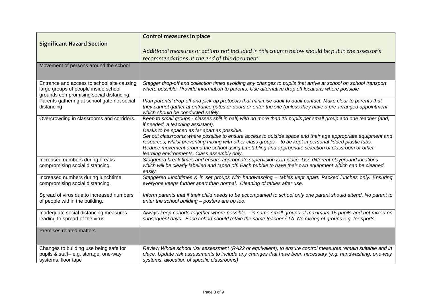|                                                                                                                               | <b>Control measures in place</b>                                                                                                                                                                                                                                                                                                                                               |
|-------------------------------------------------------------------------------------------------------------------------------|--------------------------------------------------------------------------------------------------------------------------------------------------------------------------------------------------------------------------------------------------------------------------------------------------------------------------------------------------------------------------------|
| <b>Significant Hazard Section</b>                                                                                             |                                                                                                                                                                                                                                                                                                                                                                                |
|                                                                                                                               | Additional measures or actions not included in this column below should be put in the assessor's                                                                                                                                                                                                                                                                               |
|                                                                                                                               | recommendations at the end of this document                                                                                                                                                                                                                                                                                                                                    |
| Movement of persons around the school                                                                                         |                                                                                                                                                                                                                                                                                                                                                                                |
|                                                                                                                               |                                                                                                                                                                                                                                                                                                                                                                                |
| Entrance and access to school site causing<br>large groups of people inside school<br>grounds compromising social distancing. | Stagger drop-off and collection times avoiding any changes to pupils that arrive at school on school transport<br>where possible. Provide information to parents. Use alternative drop off locations where possible                                                                                                                                                            |
| Parents gathering at school gate not social<br>distancing                                                                     | Plan parents' drop-off and pick-up protocols that minimise adult to adult contact. Make clear to parents that<br>they cannot gather at entrance gates or doors or enter the site (unless they have a pre-arranged appointment,<br>which should be conducted safely.                                                                                                            |
| Overcrowding in classrooms and corridors.                                                                                     | Keep to small groups - classes split in half, with no more than 15 pupils per small group and one teacher (and,<br>if needed, a teaching assistant).<br>Desks to be spaced as far apart as possible.                                                                                                                                                                           |
|                                                                                                                               | Set out classrooms where possible to ensure access to outside space and their age appropriate equipment and<br>resources, whilst preventing mixing with other class groups - to be kept in personal lidded plastic tubs.<br>Reduce movement around the school using timetabling and appropriate selection of classroom or other<br>learning environments. Class assembly only. |
| Increased numbers during breaks<br>compromising social distancing.                                                            | Staggered break times and ensure appropriate supervision is in place. Use different playground locations<br>which will be clearly labelled and taped off. Each bubble to have their own equipment which can be cleaned<br>easily.                                                                                                                                              |
| Increased numbers during lunchtime<br>compromising social distancing.                                                         | Staggered lunchtimes & in set groups with handwashing - tables kept apart. Packed lunches only. Ensuring<br>everyone keeps further apart than normal. Cleaning of tables after use.                                                                                                                                                                                            |
| Spread of virus due to increased numbers<br>of people within the building.                                                    | Inform parents that if their child needs to be accompanied to school only one parent should attend. No parent to<br>enter the school building - posters are up too.                                                                                                                                                                                                            |
| Inadequate social distancing measures<br>leading to spread of the virus                                                       | Always keep cohorts together where possible - in same small groups of maximum 15 pupils and not mixed on<br>subsequent days. Each cohort should retain the same teacher / TA. No mixing of groups e.g. for sports.                                                                                                                                                             |
| Premises related matters                                                                                                      |                                                                                                                                                                                                                                                                                                                                                                                |
| Changes to building use being safe for<br>pupils & staff-e.g. storage, one-way<br>systems, floor tape                         | Review Whole school risk assessment (RA22 or equivalent), to ensure control measures remain suitable and in<br>place. Update risk assessments to include any changes that have been necessary (e.g. handwashing, one-way<br>systems, allocation of specific classrooms)                                                                                                        |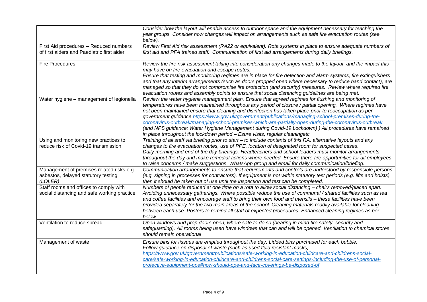|                                                                                             | Consider how the layout will enable access to outdoor space and the equipment necessary for teaching the<br>year groups. Consider how changes will impact on arrangements such as safe fire evacuation routes (see<br>below).                                                                                                                                                                                                                                                                                                                                                                                                                                                                                                      |
|---------------------------------------------------------------------------------------------|------------------------------------------------------------------------------------------------------------------------------------------------------------------------------------------------------------------------------------------------------------------------------------------------------------------------------------------------------------------------------------------------------------------------------------------------------------------------------------------------------------------------------------------------------------------------------------------------------------------------------------------------------------------------------------------------------------------------------------|
| First Aid procedures - Reduced numbers<br>of first aiders and Paediatric first aider        | Review First Aid risk assessment (RA22 or equivalent). Rota systems in place to ensure adequate numbers of<br>first aid and PFA trained staff. Communication of first aid arrangements during daily briefings.                                                                                                                                                                                                                                                                                                                                                                                                                                                                                                                     |
| <b>Fire Procedures</b>                                                                      | Review the fire risk assessment taking into consideration any changes made to the layout, and the impact this<br>may have on fire evacuation and escape routes.<br>Ensure that testing and monitoring regimes are in place for fire detection and alarm systems, fire extinguishers<br>and that any interim arrangements (such as doors propped open where necessary to reduce hand contact), are<br>managed so that they do not compromise fire protection (and security) measures. Review where required fire<br>evacuation routes and assembly points to ensure that social distancing guidelines are being met.                                                                                                                |
| Water hygiene - management of legionella                                                    | Review the water hygiene management plan. Ensure that agreed regimes for flushing and monitoring of<br>temperatures have been maintained throughout any period of closure / partial opening. Where regimes have<br>not been maintained ensure that cleaning and disinfection has taken place prior to reoccupation as per<br>government guidance https://www.gov.uk/government/publications/managing-school-premises-during-the-<br>coronavirus-outbreak/managing-school-premises-which-are-partially-open-during-the-coronavirus-outbreak<br>(and NPS guidance: Water Hygiene Management during Covid-19 Lockdown) ) All procedures have remained<br>in place throughout the lockdown period - Esure visits, regular cleaningetc. |
| Using and monitoring new practices to<br>reduce risk of Covid-19 transmission               | Training of all staff via briefing prior to start - to include contents of this RA, alternative layouts and any<br>changes to fire evacuation routes, use of PPE, location of designated room for suspected cases.<br>Daily morning and end of the day briefings. Headteachers and school leaders must monitor arrangements<br>throughout the day and make remedial actions where needed. Ensure there are opportunities for all employees<br>to raise concerns / make suggestions. WhatsApp group and email for daily communication/briefing.                                                                                                                                                                                     |
| Management of premises related risks e.g.<br>asbestos, delayed statutory testing<br>(LOLER) | Communication arrangements to ensure that requirements and controls are understood by responsible persons<br>(e.g. signing in processes for contractors). If equipment is not within statutory test periods (e.g. lifts and hoists)<br>then it should be taken out of use until the inspection and test can be completed.                                                                                                                                                                                                                                                                                                                                                                                                          |
| Staff rooms and offices to comply with<br>social distancing and safe working practice       | Numbers of people reduced at one time on a rota to allow social distancing - chairs removed/placed apart.<br>Avoiding unnecessary gatherings. Where possible reduce the use of communal / shared facilities such as tea<br>and coffee facilities and encourage staff to bring their own food and utensils - these facilities have been<br>provided separately for the two main areas of the school. Cleaning materials readily available for cleaning<br>between each use. Posters to remind all staff of expected procedures. Enhanced cleaning regimes as per<br>below.                                                                                                                                                          |
| Ventilation to reduce spread                                                                | Open windows and prop doors open, where safe to do so (bearing in mind fire safety, security and<br>safeguarding). All rooms being used have windows that can and will be opened. Ventilation to chemical stores<br>should remain operational                                                                                                                                                                                                                                                                                                                                                                                                                                                                                      |
| Management of waste                                                                         | Ensure bins for tissues are emptied throughout the day. Lidded bins purchased for each bubble.<br>Follow guidance on disposal of waste (such as used fluid resistant masks)<br>https://www.gov.uk/government/publications/safe-working-in-education-childcare-and-childrens-social-<br>care/safe-working-in-education-childcare-and-childrens-social-care-settings-including-the-use-of-personal-<br>protective-equipment-ppe#how-should-ppe-and-face-coverings-be-disposed-of                                                                                                                                                                                                                                                     |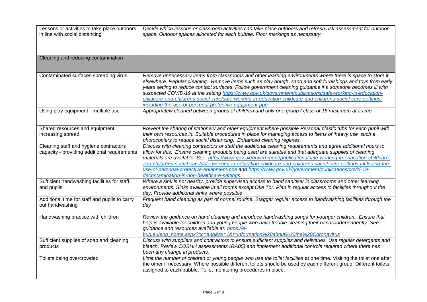| Lessons or activities to take place outdoors<br>in line with social distancing         | Decide which lessons or classroom activities can take place outdoors and refresh risk assessment for outdoor<br>space. Outdoor spaces allocated for each bubble. Floor markings as necessary.                                                                                                                                                                                                                                                                                                                                                                                                                               |
|----------------------------------------------------------------------------------------|-----------------------------------------------------------------------------------------------------------------------------------------------------------------------------------------------------------------------------------------------------------------------------------------------------------------------------------------------------------------------------------------------------------------------------------------------------------------------------------------------------------------------------------------------------------------------------------------------------------------------------|
| Cleaning and reducing contamination                                                    |                                                                                                                                                                                                                                                                                                                                                                                                                                                                                                                                                                                                                             |
| Contaminated surfaces spreading virus.                                                 | Remove unnecessary items from classrooms and other learning environments where there is space to store it<br>elsewhere. Regular cleaning. Remove items such as play dough, sand and soft furnishings and toys from early<br>years setting to reduce contact surfaces. Follow government cleaning guidance if a someone becomes ill with<br>suspected COVID-19 at the setting https://www.gov.uk/government/publications/safe-working-in-education-<br>childcare-and-childrens-social-care/safe-working-in-education-childcare-and-childrens-social-care-settings-<br>including-the-use-of-personal-protective-equipment-ppe |
| Using play equipment - multiple use                                                    | Appropriately cleaned between groups of children and only one group / class of 15 maximum at a time.                                                                                                                                                                                                                                                                                                                                                                                                                                                                                                                        |
| Shared resources and equipment<br>increasing spread                                    | Prevent the sharing of stationery and other equipment where possible Personal plastic tubs for each pupil with<br>their own resources in. Suitable procedures in place for managing access to items of 'heavy use' such a<br>photocopiers to reduce social distancing. Enhanced cleaning regimes.                                                                                                                                                                                                                                                                                                                           |
| Cleaning staff and hygiene contractors<br>capacity - providing additional requirements | Discuss with cleaning contractors or staff the additional cleaning requirements and agree additional hours to<br>allow for this. Ensure cleaning products being used are suitable and that adequate supplies of cleaning<br>materials are available. See https://www.gov.uk/government/publications/safe-working-in-education-childcare-<br>and-childrens-social-care/safe-working-in-education-childcare-and-childrens-social-care-settings-including-the-<br>use-of-personal-protective-equipment-ppe and https://www.gov.uk/government/publications/covid-19-<br>decontamination-in-non-healthcare-settings.             |
| Sufficient handwashing facilities for staff<br>and pupils                              | Where a sink is not nearby, provide supervised access to hand sanitiser in classrooms and other learning<br>environments. Sinks available in all rooms except Oke Tor. Plan in regular access to facilities throughout the<br>day. Provide additional sinks where possible                                                                                                                                                                                                                                                                                                                                                  |
| Additional time for staff and pupils to carry<br>out handwashing                       | Frequent hand cleaning as part of normal routine. Stagger regular access to handwashing facilities through the<br>day                                                                                                                                                                                                                                                                                                                                                                                                                                                                                                       |
| Handwashing practice with children                                                     | Review the guidance on hand cleaning and introduce handwashing songs for younger children. Ensure that<br>help is available for children and young people who have trouble cleaning their hands independently. See<br>guidance and resources available at: https://e-<br>bug.eu/eng_home.aspx?cc=eng&ss=1&t=Information%20about%20the%20Coronavirus                                                                                                                                                                                                                                                                         |
| Sufficient supplies of soap and cleaning<br>products                                   | Discuss with suppliers and contractors to ensure sufficient supplies and deliveries. Use regular detergents and<br>bleach. Review COSHH assessments (RA05) and implement additional controls required where there has<br>been any change in products.                                                                                                                                                                                                                                                                                                                                                                       |
| Toilets being overcrowded                                                              | Limit the number of children or young people who use the toilet facilities at one time. Visiting the toilet one after<br>the other if necessary. Where possible different toilets should be used by each different group. Different toilets<br>assigned to each bubble. Toilet monitoring procedures in place.                                                                                                                                                                                                                                                                                                              |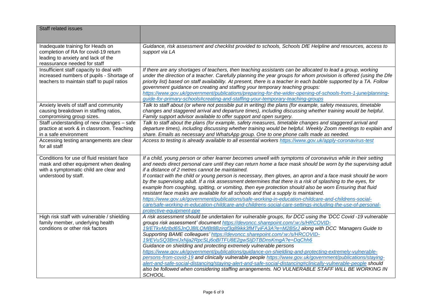| <b>Staff related issues</b>                                                                                                                           |                                                                                                                                                                                                                                                                                                                                                                                                                                                                                                                                                                                                                                                                                                                                                                                                                                                                                                                                                                        |
|-------------------------------------------------------------------------------------------------------------------------------------------------------|------------------------------------------------------------------------------------------------------------------------------------------------------------------------------------------------------------------------------------------------------------------------------------------------------------------------------------------------------------------------------------------------------------------------------------------------------------------------------------------------------------------------------------------------------------------------------------------------------------------------------------------------------------------------------------------------------------------------------------------------------------------------------------------------------------------------------------------------------------------------------------------------------------------------------------------------------------------------|
|                                                                                                                                                       |                                                                                                                                                                                                                                                                                                                                                                                                                                                                                                                                                                                                                                                                                                                                                                                                                                                                                                                                                                        |
| Inadequate training for Heads on<br>completion of RA for covid-19 return<br>leading to anxiety and lack of the<br>reassurance needed for staff        | Guidance, risk assessment and checklist provided to schools, Schools DfE Helpline and resources, access to<br>support via LA                                                                                                                                                                                                                                                                                                                                                                                                                                                                                                                                                                                                                                                                                                                                                                                                                                           |
| Insufficient staff capacity to deal with<br>increased numbers of pupils - Shortage of<br>teachers to maintain staff to pupil ratios                   | If there are any shortages of teachers, then teaching assistants can be allocated to lead a group, working<br>under the direction of a teacher. Carefully planning the year groups for whom provision is offered (using the Dfe<br>priority list) based on staff availability. At present, there is a teacher in each bubble supported by a TA. Follow<br>government guidance on creating and staffing your temporary teaching groups:<br>https://www.gov.uk/government/publications/preparing-for-the-wider-opening-of-schools-from-1-june/planning-<br>guide-for-primary-schools#creating-and-staffing-your-temporary-teaching-groups                                                                                                                                                                                                                                                                                                                                |
| Anxiety levels of staff and community<br>causing breakdown in staffing ratios,<br>compromising group sizes.                                           | Talk to staff about (or where not possible put in writing) the plans (for example, safety measures, timetable<br>changes and staggered arrival and departure times), including discussing whether training would be helpful.<br>Family support advisor available to offer support and open surgery.                                                                                                                                                                                                                                                                                                                                                                                                                                                                                                                                                                                                                                                                    |
| Staff understanding of new changes - safe<br>practice at work & in classroom. Teaching<br>in a safe environment                                       | Talk to staff about the plans (for example, safety measures, timetable changes and staggered arrival and<br>departure times), including discussing whether training would be helpful. Weekly Zoom meetings to explain and<br>share. Emails as necessary and WhatsApp group. One to one phone calls made as needed.                                                                                                                                                                                                                                                                                                                                                                                                                                                                                                                                                                                                                                                     |
| Accessing testing arrangements are clear<br>for all staff                                                                                             | Access to testing is already available to all essential workers https://www.gov.uk/apply-coronavirus-test                                                                                                                                                                                                                                                                                                                                                                                                                                                                                                                                                                                                                                                                                                                                                                                                                                                              |
| Conditions for use of fluid resistant face<br>mask and other equipment when dealing<br>with a symptomatic child are clear and<br>understood by staff. | If a child, young person or other learner becomes unwell with symptoms of coronavirus while in their setting<br>and needs direct personal care until they can return home a face mask should be worn by the supervising adult<br>if a distance of 2 metres cannot be maintained.<br>If contact with the child or young person is necessary, then gloves, an apron and a face mask should be worn<br>by the supervising adult. If a risk assessment determines that there is a risk of splashing to the eyes, for<br>example from coughing, spitting, or vomiting, then eye protection should also be worn Ensuring that fluid<br>resistant face masks are available for all schools and that a supply is maintained.<br>https://www.gov.uk/government/publications/safe-working-in-education-childcare-and-childrens-social-<br>care/safe-working-in-education-childcare-and-childrens-social-care-settings-including-the-use-of-personal-<br>protective-equipment-ppe |
| High risk staff with vulnerable / shielding<br>family member, underlying health<br>conditions or other risk factors                                   | A risk assessment should be undertaken for vulnerable groups, for DCC using the 'DCC Covid -19 vulnerable<br>groups risk assessment' document https://devoncc.sharepoint.com/:w:/s/HRCOVID-<br>19/ETkvMzlbd65JnQJBILQMBt8Bzirgf3q89ikk3fMTyiFA3A?e=M2B5rJ along with DCC 'Managers Guide to<br>Supporting BAME colleagues' https://devoncc.sharepoint.com/:w:/s/HRCOVID-<br>19/EVuSQ3BmlJxNja2RpcSLj6oBITFU8E2gwSIjDTBDnsKmgA?e=DqChh6<br>Guidance on shielding and protecting extremely vulnerable persons<br>https://www.gov.uk/government/publications/guidance-on-shielding-and-protecting-extremely-vulnerable-<br>persons-from-covid-19 and clinically vulnerable people https://www.gov.uk/government/publications/staying-<br>alert-and-safe-social-distancing/staying-alert-and-safe-social-distancing#clinically-vulnerable-people should<br>also be followed when considering staffing arrangements. NO VULNERABLE STAFF WILL BE WORKING IN<br>SCHOOL.      |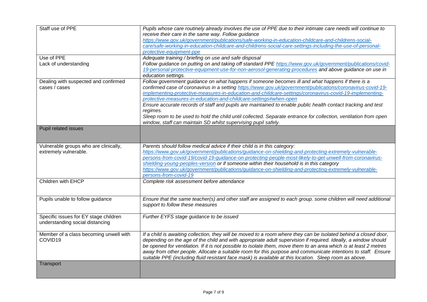| Staff use of PPE                       | Pupils whose care routinely already involves the use of PPE due to their intimate care needs will continue to<br>receive their care in the same way. Follow guidance |  |
|----------------------------------------|----------------------------------------------------------------------------------------------------------------------------------------------------------------------|--|
|                                        | https://www.gov.uk/government/publications/safe-working-in-education-childcare-and-childrens-social-                                                                 |  |
|                                        | care/safe-working-in-education-childcare-and-childrens-social-care-settings-including-the-use-of-personal-                                                           |  |
|                                        | protective-equipment-ppe                                                                                                                                             |  |
| Use of PPE                             | Adequate training / briefing on use and safe disposal                                                                                                                |  |
| Lack of understanding                  | Follow guidance on putting on and taking off standard PPE https://www.gov.uk/government/publications/covid-                                                          |  |
|                                        | 19-personal-protective-equipment-use-for-non-aerosol-generating-procedures and above guidance on use in<br>education settings.                                       |  |
| Dealing with suspected and confirmed   | Follow government guidance on what happens if someone becomes ill and what happens if there is a                                                                     |  |
| cases / cases                          | confirmed case of coronavirus in a setting https://www.gov.uk/government/publications/coronavirus-covid-19-                                                          |  |
|                                        | implementing-protective-measures-in-education-and-childcare-settings/coronavirus-covid-19-implementing-                                                              |  |
|                                        | protective-measures-in-education-and-childcare-settings#when-open                                                                                                    |  |
|                                        | Ensure accurate records of staff and pupils are maintained to enable public health contact tracking and test                                                         |  |
|                                        | regimes.                                                                                                                                                             |  |
|                                        | Sleep room to be used to hold the child until collected. Separate entrance for collection, ventilation from open                                                     |  |
|                                        | window, staff can maintain SD whilst supervising pupil safely.                                                                                                       |  |
| Pupil related issues                   |                                                                                                                                                                      |  |
|                                        |                                                                                                                                                                      |  |
| Vulnerable groups who are clinically,  | Parents should follow medical advice if their child is in this category:                                                                                             |  |
| extremely vulnerable.                  | https://www.gov.uk/government/publications/guidance-on-shielding-and-protecting-extremely-vulnerable-                                                                |  |
|                                        | persons-from-covid-19/covid-19-guidance-on-protecting-people-most-likely-to-get-unwell-from-coronavirus-                                                             |  |
|                                        | shielding-young-peoples-version or if someone within their household is in this category                                                                             |  |
|                                        | https://www.gov.uk/government/publications/guidance-on-shielding-and-protecting-extremely-vulnerable-                                                                |  |
|                                        | persons-from-covid-19                                                                                                                                                |  |
| Children with EHCP                     | Complete risk assessment before attendance                                                                                                                           |  |
|                                        |                                                                                                                                                                      |  |
|                                        |                                                                                                                                                                      |  |
| Pupils unable to follow guidance       | Ensure that the same teacher(s) and other staff are assigned to each group. some children will need additional                                                       |  |
|                                        | support to follow these measures                                                                                                                                     |  |
|                                        |                                                                                                                                                                      |  |
| Specific issues for EY stage children  | Further EYFS stage guidance to be issued                                                                                                                             |  |
| understanding social distancing        |                                                                                                                                                                      |  |
| Member of a class becoming unwell with | If a child is awaiting collection, they will be moved to a room where they can be isolated behind a closed door,                                                     |  |
| COVID19                                | depending on the age of the child and with appropriate adult supervision if required. Ideally, a window should                                                       |  |
|                                        | be opened for ventilation. If it is not possible to isolate them, move them to an area which is at least 2 metres                                                    |  |
|                                        | away from other people. Allocate a suitable room for this purpose and communicate intentions to staff. Ensure                                                        |  |
|                                        | suitable PPE (including fluid resistant face mask) is available at this location. Sleep room as above.                                                               |  |
| Transport                              |                                                                                                                                                                      |  |
|                                        |                                                                                                                                                                      |  |
|                                        |                                                                                                                                                                      |  |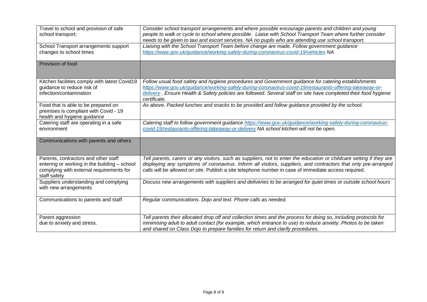| Travel to school and provision of safe<br>school transport:                                                                                      | Consider school transport arrangements and where possible encourage parents and children and young<br>people to walk or cycle to school where possible. Liaise with School Transport Team where further consider<br>needs to be given to taxi and escort services. NA no pupils who are attending use school transport.                            |
|--------------------------------------------------------------------------------------------------------------------------------------------------|----------------------------------------------------------------------------------------------------------------------------------------------------------------------------------------------------------------------------------------------------------------------------------------------------------------------------------------------------|
| School Transport arrangements support<br>changes to school times                                                                                 | Liaising with the School Transport Team before change are made. Follow government guidance<br>https://www.gov.uk/guidance/working-safely-during-coronavirus-covid-19/vehicles NA                                                                                                                                                                   |
| Provision of food                                                                                                                                |                                                                                                                                                                                                                                                                                                                                                    |
| Kitchen facilities comply with latest Covid19<br>guidance to reduce risk of<br>infection/contamination                                           | Follow usual food safety and hygiene procedures and Government guidance for catering establishments<br>https://www.gov.uk/guidance/working-safely-during-coronavirus-covid-19/restaurants-offering-takeaway-or-<br>delivery. Ensure Health & Safety policies are followed. Several staff on site have completed their food hygiene<br>certificate. |
| Food that is able to be prepared on<br>premises is compliant with Covid - 19<br>health and hygiene guidance                                      | As above. Packed lunches and snacks to be provided and follow guidance provided by the school.                                                                                                                                                                                                                                                     |
| Catering staff are operating in a safe<br>environment                                                                                            | Catering staff to follow government guidance https://www.gov.uk/guidance/working-safely-during-coronavirus-<br>covid-19/restaurants-offering-takeaway-or-delivery NA school kitchen will not be open.                                                                                                                                              |
| Communications with parents and others                                                                                                           |                                                                                                                                                                                                                                                                                                                                                    |
| Parents, contractors and other staff<br>entering or working in the building - school<br>complying with external requirements for<br>staff safety | Tell parents, carers or any visitors, such as suppliers, not to enter the education or childcare setting if they are<br>displaying any symptoms of coronavirus. Inform all visitors, suppliers, and contractors that only pre-arranged<br>calls will be allowed on site. Publish a site telephone number in case of immediate access required.     |
| Suppliers understanding and complying<br>with new arrangements                                                                                   | Discuss new arrangements with suppliers and deliveries to be arranged for quiet times or outside school hours                                                                                                                                                                                                                                      |
| Communications to parents and staff                                                                                                              | Regular communications. Dojo and text. Phone calls as needed.                                                                                                                                                                                                                                                                                      |
| Parent aggression<br>due to anxiety and stress.                                                                                                  | Tell parents their allocated drop off and collection times and the process for doing so, including protocols for<br>minimising adult to adult contact (for example, which entrance to use) to reduce anxiety. Photos to be taken<br>and shared on Class Dojo to prepare families for return and clarify procedures.                                |